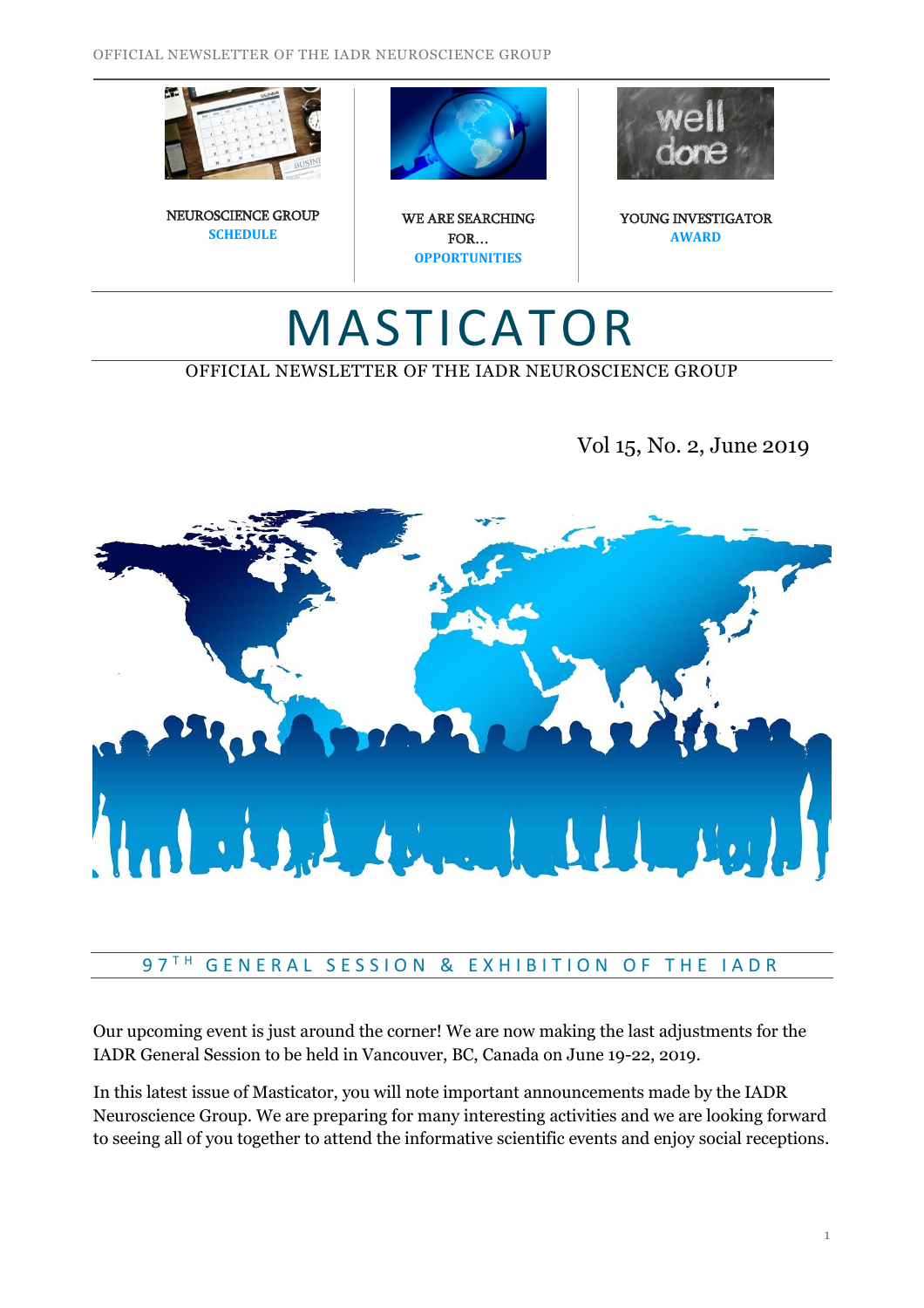





WE ARE SEARCHING FOR… **OPPORTUNITIES**



YOUNG INVESTIGATOR **AWARD**

# MASTICATOR

# OFFICIAL NEWSLETTER OF THE IADR NEUROSCIENCE GROUP

Vol 15, No. 2, June 2019



#### $97$ <sup>TH</sup> GENERAL SESSION & EXHIBITION OF THE IADR

Our upcoming event is just around the corner! We are now making the last adjustments for the IADR General Session to be held in Vancouver, BC, Canada on June 19-22, 2019.

In this latest issue of Masticator, you will note important announcements made by the IADR Neuroscience Group. We are preparing for many interesting activities and we are looking forward to seeing all of you together to attend the informative scientific events and enjoy social receptions.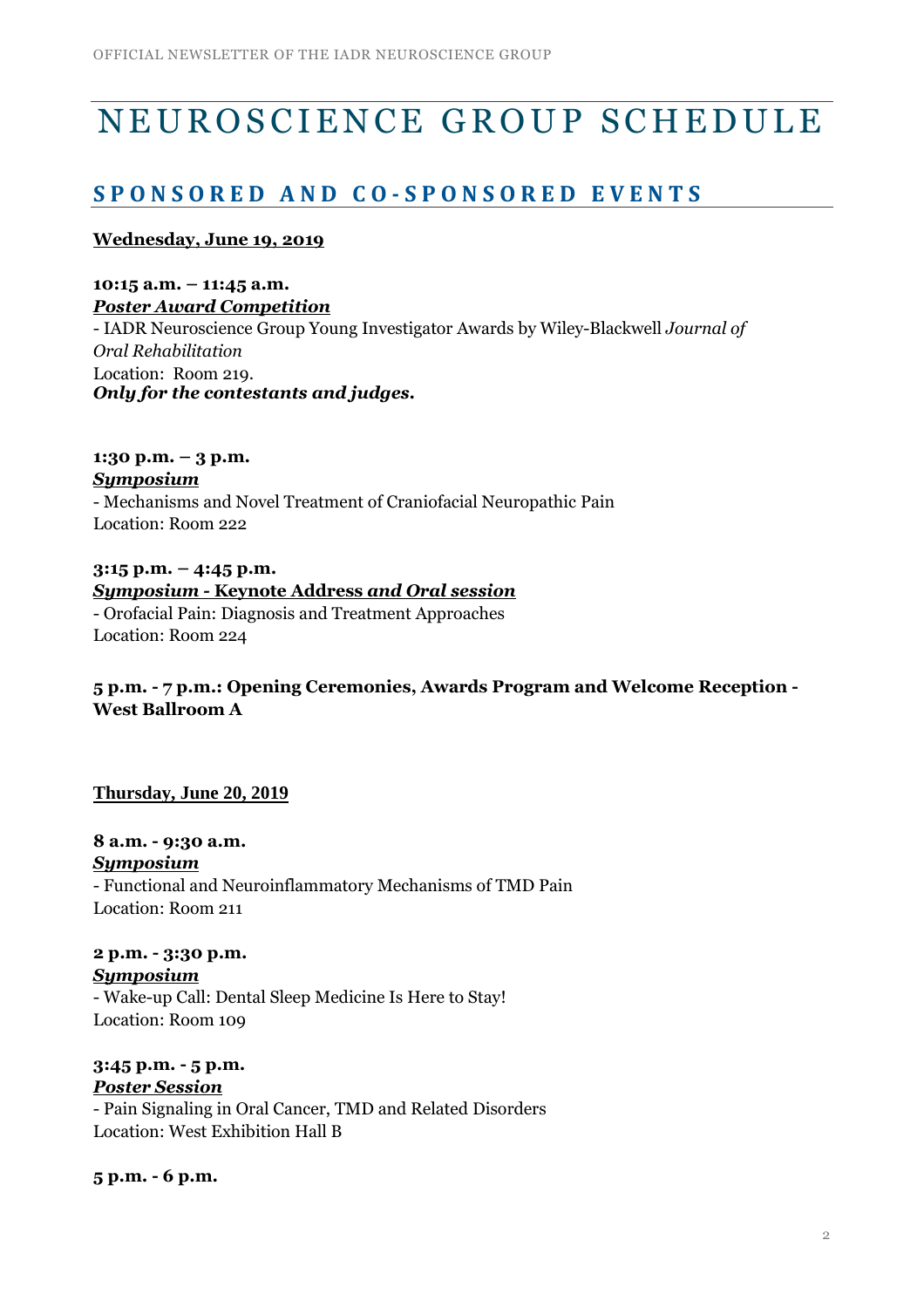# NEUROSCIENCE GROUP SCHEDULE

# **S P O N S O R E D A N D C O - S P O N S O R E D E V E N T S**

#### **Wednesday, June 19, 2019**

**10:15 a.m. – 11:45 a.m.** *Poster Award Competition* - IADR Neuroscience Group Young Investigator Awards by Wiley-Blackwell *Journal of Oral Rehabilitation* Location: Room 219. *Only for the contestants and judges.*

**1:30 p.m. – 3 p.m.** *Symposium* - Mechanisms and Novel Treatment of Craniofacial Neuropathic Pain Location: Room 222

**3:15 p.m. – 4:45 p.m.** *Symposium -* **Keynote Address** *and Oral session* - Orofacial Pain: Diagnosis and Treatment Approaches Location: Room 224

# **5 p.m. - 7 p.m.: Opening Ceremonies, Awards Program and Welcome Reception - West Ballroom A**

#### **Thursday, June 20, 2019**

**8 a.m. - 9:30 a.m.** *Symposium* - Functional and Neuroinflammatory Mechanisms of TMD Pain Location: Room 211

**2 p.m. - 3:30 p.m.** *Symposium* - Wake-up Call: Dental Sleep Medicine Is Here to Stay! Location: Room 109

**3:45 p.m. - 5 p.m.** *Poster Session* - Pain Signaling in Oral Cancer, TMD and Related Disorders Location: West Exhibition Hall B

**5 p.m. - 6 p.m.**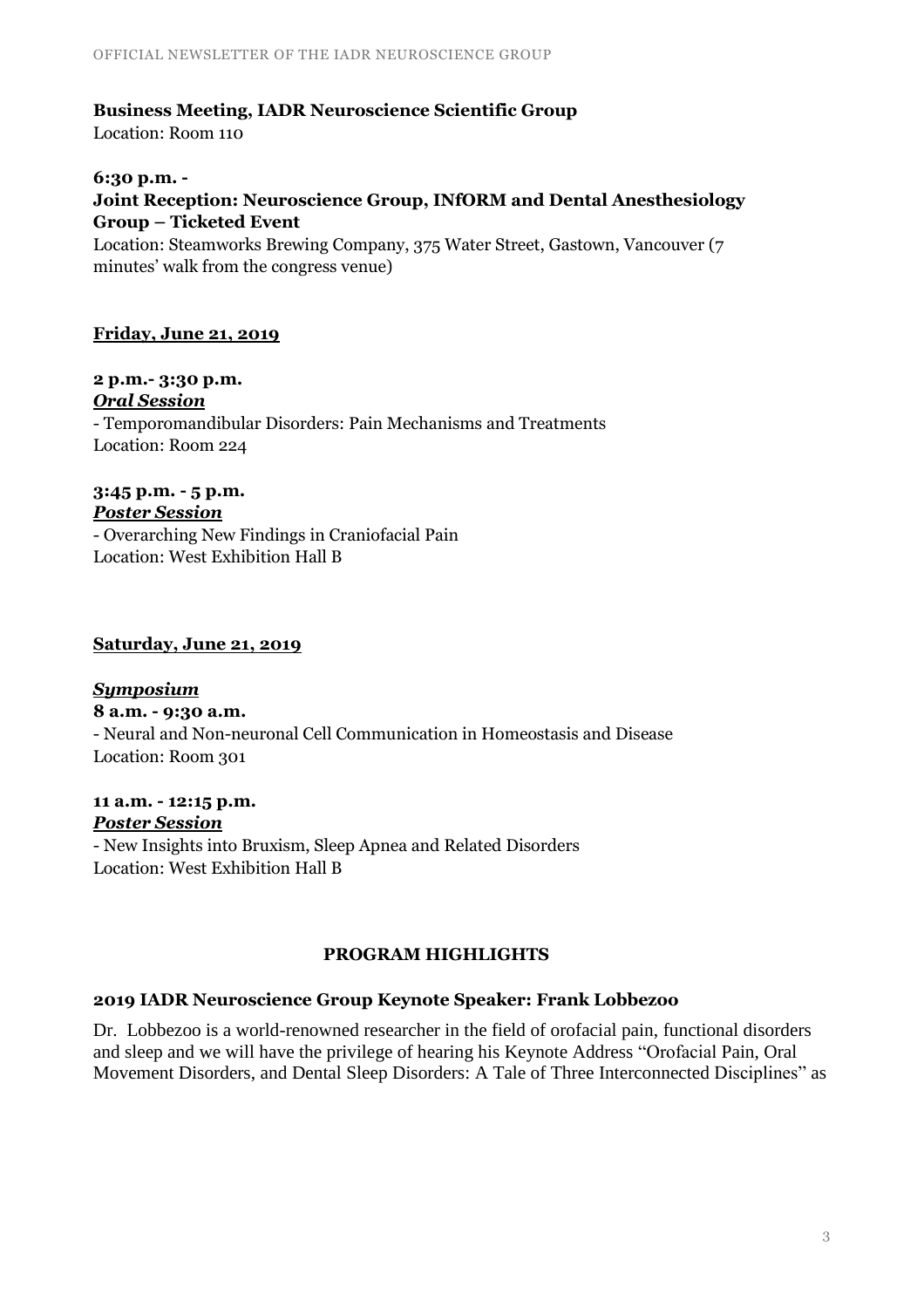# **Business Meeting, IADR Neuroscience Scientific Group**

Location: Room 110

#### **6:30 p.m. -**

# **Joint Reception: Neuroscience Group, INfORM and Dental Anesthesiology Group – Ticketed Event**

Location: Steamworks Brewing Company, 375 Water Street, Gastown, Vancouver (7 minutes' walk from the congress venue)

#### **Friday, June 21, 2019**

#### **2 p.m.- 3:30 p.m.** *Oral Session*

- Temporomandibular Disorders: Pain Mechanisms and Treatments Location: Room 224

#### **3:45 p.m. - 5 p.m.** *Poster Session*

- Overarching New Findings in Craniofacial Pain Location: West Exhibition Hall B

#### **Saturday, June 21, 2019**

#### *Symposium* **8 a.m. - 9:30 a.m.** - Neural and Non-neuronal Cell Communication in Homeostasis and Disease Location: Room 301

#### **11 a.m. - 12:15 p.m.** *Poster Session*

- New Insights into Bruxism, Sleep Apnea and Related Disorders Location: West Exhibition Hall B

# **PROGRAM HIGHLIGHTS**

# **2019 IADR Neuroscience Group Keynote Speaker: Frank Lobbezoo**

Dr. Lobbezoo is a world-renowned researcher in the field of orofacial pain, functional disorders and sleep and we will have the privilege of hearing his Keynote Address "Orofacial Pain, Oral Movement Disorders, and Dental Sleep Disorders: A Tale of Three Interconnected Disciplines" as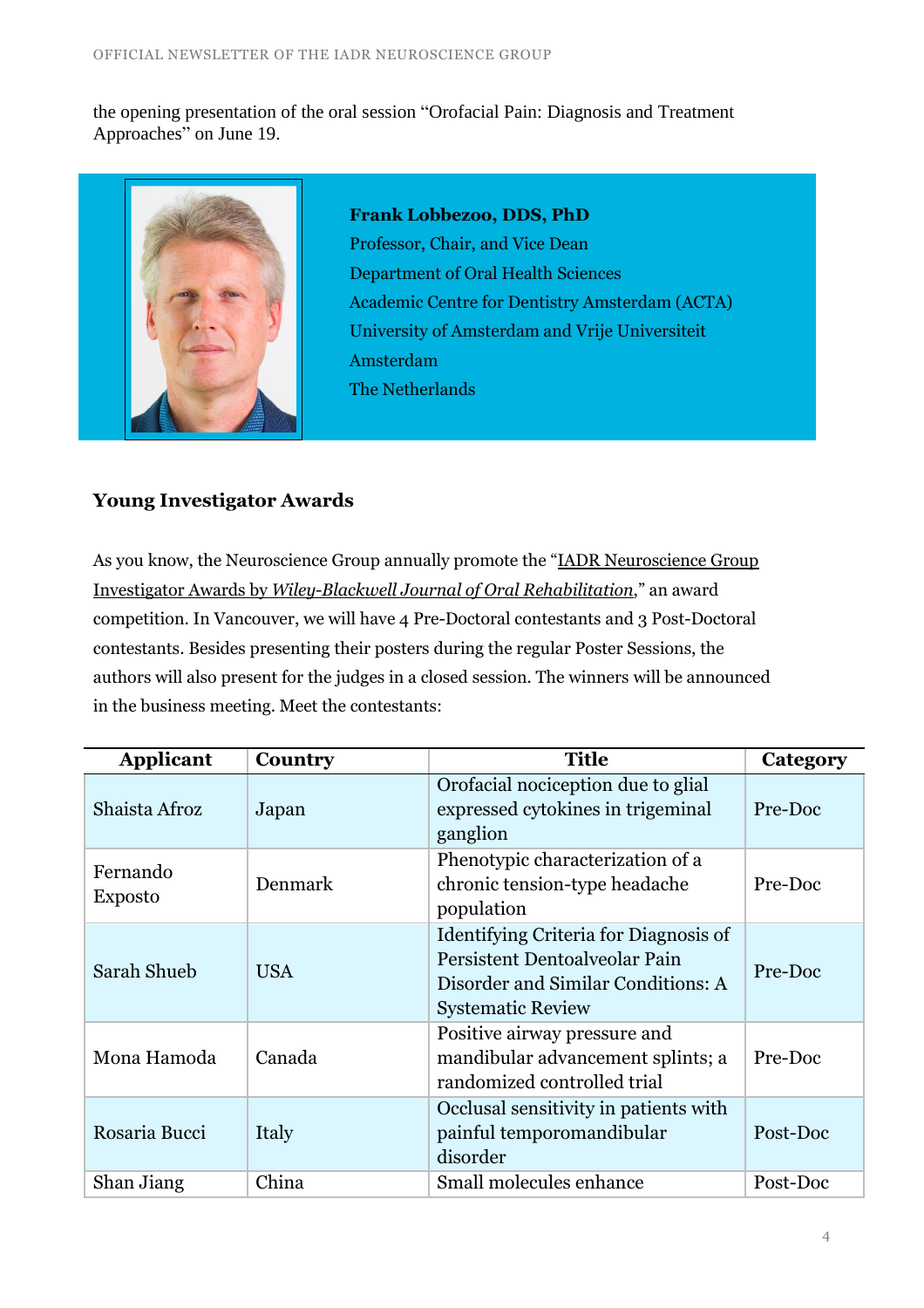the opening presentation of the oral session "Orofacial Pain: Diagnosis and Treatment Approaches" on June 19.



**Frank Lobbezoo, DDS, PhD** Professor, Chair, and Vice Dean Department of Oral Health Sciences Academic Centre for Dentistry Amsterdam (ACTA) University of Amsterdam and Vrije Universiteit Amsterdam The Netherlands

# **Young Investigator Awards**

As you know, the Neuroscience Group annually promote the "IADR [Neuroscience](https://www.iadr.org/IADR/Awards/Scientific-Group-Awards/NEU) Group Investigator Awards by *[Wiley-Blackwell](https://www.iadr.org/IADR/Awards/Scientific-Group-Awards/NEU) Journal of Oral Rehabilitation*," an award competition. In Vancouver, we will have 4 Pre-Doctoral contestants and 3 Post-Doctoral contestants. Besides presenting their posters during the regular Poster Sessions, the authors will also present for the judges in a closed session. The winners will be announced in the business meeting. Meet the contestants:

| <b>Applicant</b>           | Country    | <b>Title</b>                                                                                                                             | Category |
|----------------------------|------------|------------------------------------------------------------------------------------------------------------------------------------------|----------|
| Shaista Afroz              | Japan      | Orofacial nociception due to glial<br>expressed cytokines in trigeminal<br>ganglion                                                      | Pre-Doc  |
| Fernando<br><b>Exposto</b> | Denmark    | Phenotypic characterization of a<br>chronic tension-type headache<br>population                                                          | Pre-Doc  |
| Sarah Shueb                | <b>USA</b> | Identifying Criteria for Diagnosis of<br>Persistent Dentoalveolar Pain<br>Disorder and Similar Conditions: A<br><b>Systematic Review</b> | Pre-Doc  |
| Mona Hamoda                | Canada     | Positive airway pressure and<br>mandibular advancement splints; a<br>randomized controlled trial                                         | Pre-Doc  |
| Rosaria Bucci              | Italy      | Occlusal sensitivity in patients with<br>painful temporomandibular<br>disorder                                                           | Post-Doc |
| Shan Jiang                 | China      | Small molecules enhance                                                                                                                  | Post-Doc |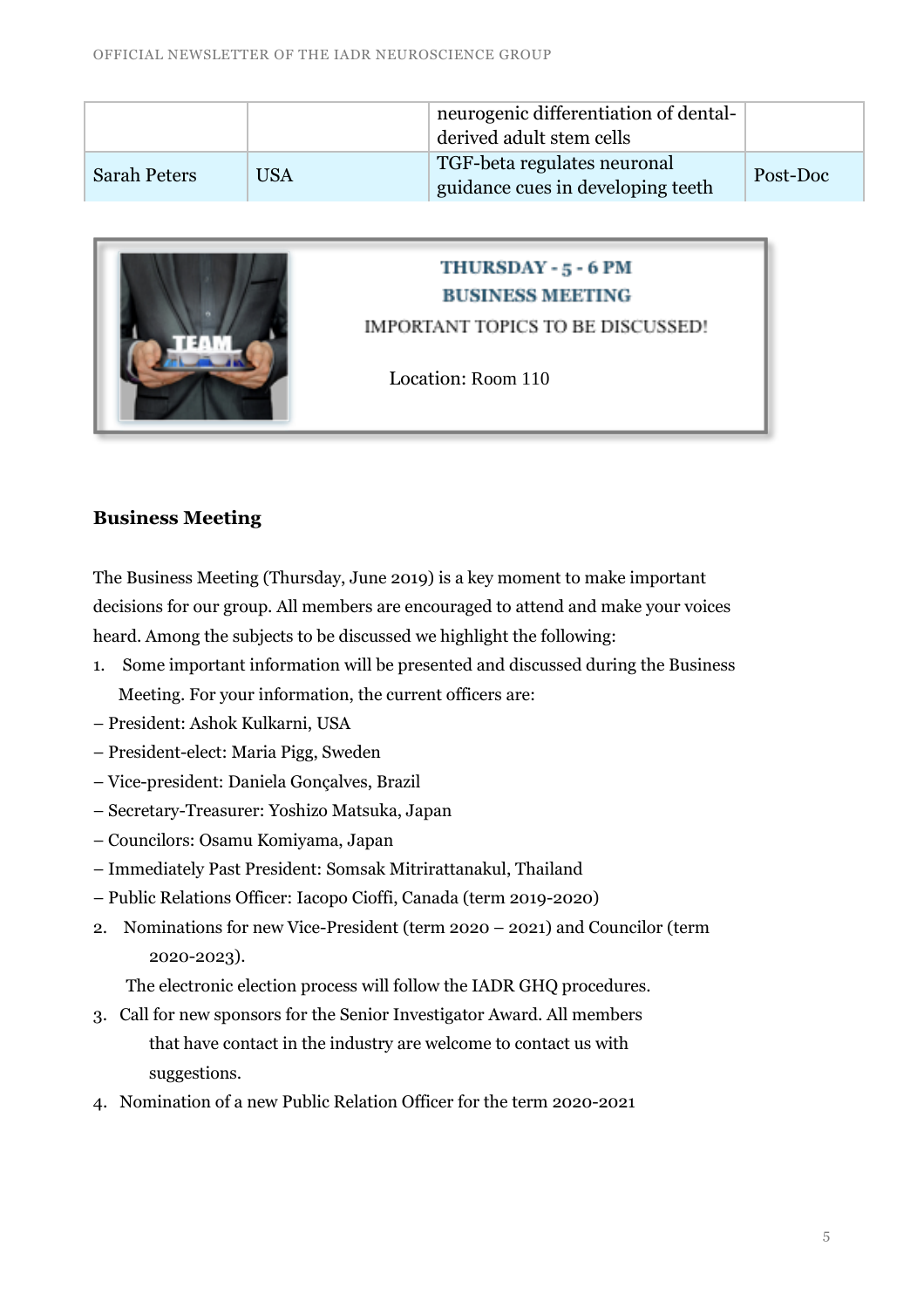|                     |     | neurogenic differentiation of dental-<br>derived adult stem cells |          |
|---------------------|-----|-------------------------------------------------------------------|----------|
| <b>Sarah Peters</b> | USA | TGF-beta regulates neuronal<br>guidance cues in developing teeth  | Post-Doc |



# THURSDAY - 5 - 6 PM **BUSINESS MEETING**

IMPORTANT TOPICS TO BE DISCUSSED!

Location: Room 110

# **Business Meeting**

The Business Meeting (Thursday, June 2019) is a key moment to make important decisions for our group. All members are encouraged to attend and make your voices heard. Among the subjects to be discussed we highlight the following:

- 1. Some important information will be presented and discussed during the Business Meeting. For your information, the current officers are:
- President: Ashok Kulkarni, USA
- President-elect: Maria Pigg, Sweden
- Vice-president: Daniela Gonçalves, Brazil
- Secretary-Treasurer: Yoshizo Matsuka, Japan
- Councilors: Osamu Komiyama, Japan
- Immediately Past President: Somsak Mitrirattanakul, Thailand
- Public Relations Officer: Iacopo Cioffi, Canada (term 2019-2020)
- 2. Nominations for new Vice-President (term 2020 2021) and Councilor (term 2020-2023).

The electronic election process will follow the IADR GHQ procedures.

- 3. Call for new sponsors for the Senior Investigator Award. All members that have contact in the industry are welcome to contact us with suggestions.
- 4. Nomination of a new Public Relation Officer for the term 2020-2021